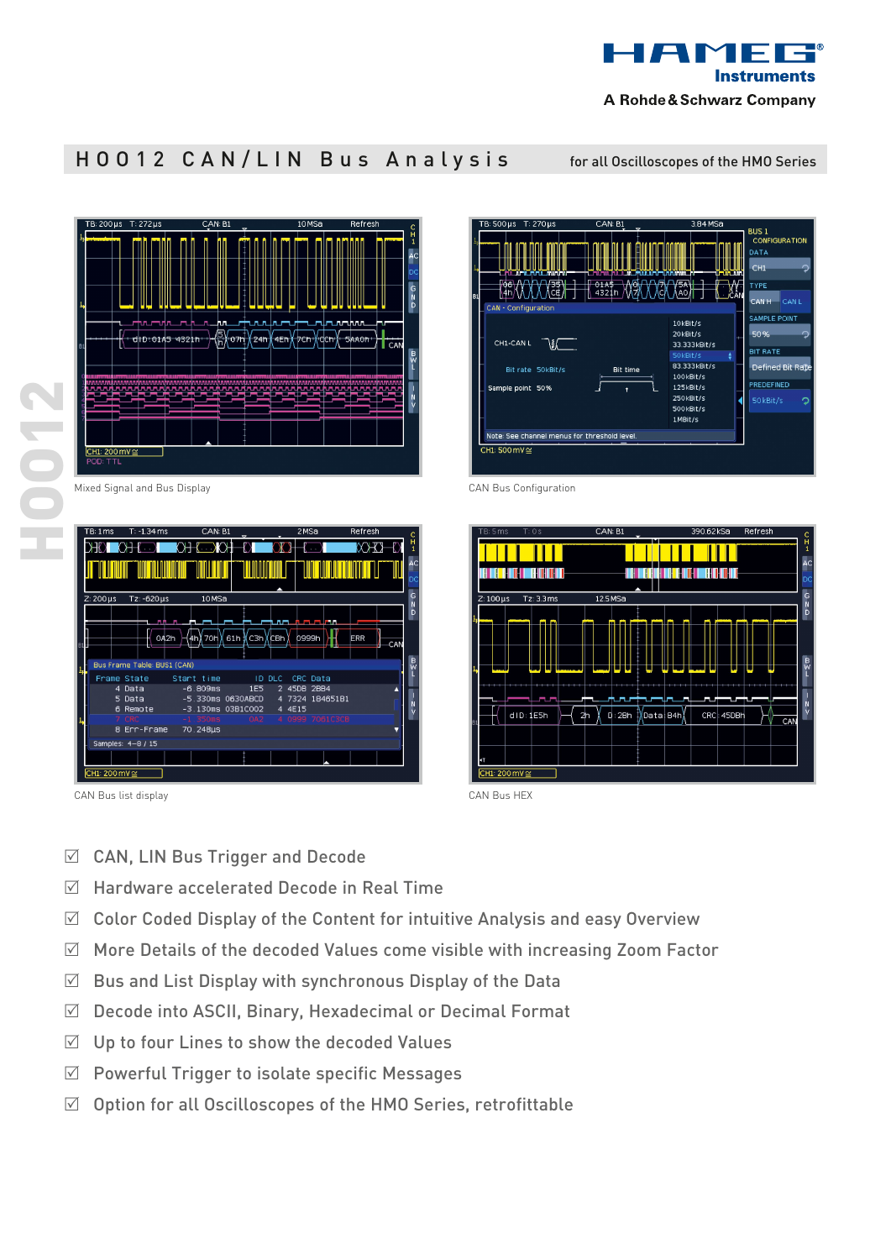

## HOO12 CAN/LIN Bus Analysis for all Oscilloscopes of the HMO Series

| TB: 200 µs<br>$T: 272 \mu s$ | CAN: B1<br>$\overline{v}$ | 10MSa                                                                                                                        | Refresh                                                                |
|------------------------------|---------------------------|------------------------------------------------------------------------------------------------------------------------------|------------------------------------------------------------------------|
|                              |                           |                                                                                                                              | $\begin{smallmatrix} 0 \\ 1 \end{smallmatrix}$<br>A <sub>C</sub><br>D) |
| mumm_n                       | hn                        |                                                                                                                              | $D \ge 0$<br>փոտոփտ<br>- 1                                             |
| d D:0145 4321h               | 5)<br>D<br>07h            | 24h<br>'dcn<br>4Eh<br>7Ch                                                                                                    | 5AA0h<br>CAN<br>B<br>X                                                 |
| <b>Will annual</b>           |                           | <u>, and the magnetic magnetic magnetic magnetic magnetic magnetic magnetic magnetic magnetic magnetic magnetic magnetic</u> | 111111111<br>annu<br>$\frac{N}{V}$                                     |
| CH1: 200 mV ≅<br>POD: TTL    |                           |                                                                                                                              |                                                                        |

Mixed Signal and Bus Display

|    | TB:1ms                       | $T: -1.34 \, \text{ms}$     | CAN: B1           | $\overline{ }$    |               | 2MSa                    | Refresh           | c        |
|----|------------------------------|-----------------------------|-------------------|-------------------|---------------|-------------------------|-------------------|----------|
|    |                              | <b>HDIKHEDI</b>             |                   | ₹)                |               |                         | KOHID             | н        |
|    |                              |                             |                   |                   |               |                         |                   | AC<br>DC |
|    | $Z:200 \,\mu s$              | Tz: -620 µs                 | 10 <sub>MSa</sub> |                   |               |                         |                   | G<br>N   |
|    |                              |                             |                   |                   |               |                         |                   | D        |
| B1 |                              | 自由<br>0A2h                  | - 6<br>4h) 70h    | 81h ∦C3h ∦CBh     | ┱╍            | لانتخابهم الأر<br>0999h | <b>ERR</b><br>CAN |          |
|    |                              | Bus Frame Table: BUS1 (CAN) |                   |                   |               |                         |                   | B<br>W   |
|    |                              | Frame State                 | Start time        |                   | <b>ID DLC</b> | CRC Data                |                   |          |
|    |                              | 4 Data                      | $-6.809ms$        | <b>1E5</b>        |               | 2 45DB 2BB4             |                   |          |
|    |                              | 5 Data<br>6 Remote          |                   | -5.330ms 0630ABCD | 4<br>4 4E15   | 7324 184651B1           |                   |          |
|    |                              | 7 CRC                       | $-1.350ms$        | 0A2               |               | 4 0999 7061C3CB         |                   |          |
|    |                              | 8 Err-Frame                 | 70.248µs          |                   |               |                         |                   |          |
|    |                              | Samples: 4-8 / 15           |                   |                   |               |                         |                   |          |
|    |                              |                             |                   |                   |               |                         |                   |          |
|    | $TH1:200 \text{ mV} \approx$ |                             |                   |                   |               |                         |                   |          |

CAN Bus list display



CAN Bus Configuration



- 
- $\boxdot$  CAN, LIN Bus Trigger and Decode
- $\boxtimes$  Hardware accelerated Decode in Real Time
- $\boxtimes$  Color Coded Display of the Content for intuitive Analysis and easy Overview
- $\boxtimes$  More Details of the decoded Values come visible with increasing Zoom Factor
- $\boxtimes$  Bus and List Display with synchronous Display of the Data
- $\boxtimes$  Decode into ASCII, Binary, Hexadecimal or Decimal Format
- $\boxtimes$  Up to four Lines to show the decoded Values
- $\boxtimes$  Powerful Trigger to isolate specific Messages
- $\boxtimes$  Option for all Oscilloscopes of the HMO Series, retrofittable